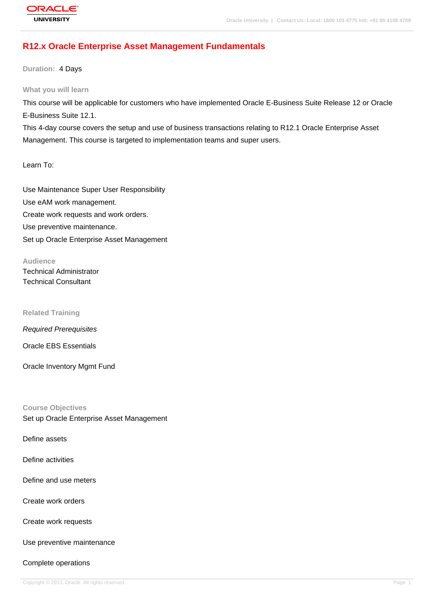# **[R12.x Oracle E](http://education.oracle.com/pls/web_prod-plq-dad/db_pages.getpage?page_id=3)nterprise Asset Management Fundamentals**

**Duration:** 4 Days

**What you will learn**

This course will be applicable for customers who have implemented Oracle E-Business Suite Release 12 or Oracle E-Business Suite 12.1.

This 4-day course covers the setup and use of business transactions relating to R12.1 Oracle Enterprise Asset Management. This course is targeted to implementation teams and super users.

Learn To:

Use Maintenance Super User Responsibility Use eAM work management. Create work requests and work orders. Use preventive maintenance. Set up Oracle Enterprise Asset Management

**Audience** Technical Administrator Technical Consultant

**Related Training**

Required Prerequisites

Oracle EBS Essentials

Oracle Inventory Mgmt Fund

**Course Objectives** Set up Oracle Enterprise Asset Management

Define assets

Define activities

Define and use meters

Create work orders

Create work requests

Use preventive maintenance

Complete operations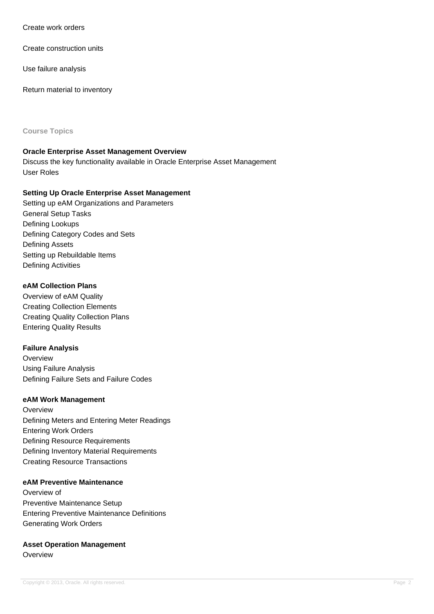Create work orders

Create construction units

Use failure analysis

Return material to inventory

**Course Topics**

#### **Oracle Enterprise Asset Management Overview**

Discuss the key functionality available in Oracle Enterprise Asset Management User Roles

# **Setting Up Oracle Enterprise Asset Management**

Setting up eAM Organizations and Parameters General Setup Tasks Defining Lookups Defining Category Codes and Sets Defining Assets Setting up Rebuildable Items Defining Activities

# **eAM Collection Plans**

Overview of eAM Quality Creating Collection Elements Creating Quality Collection Plans Entering Quality Results

# **Failure Analysis**

**Overview** Using Failure Analysis Defining Failure Sets and Failure Codes

#### **eAM Work Management**

**Overview** Defining Meters and Entering Meter Readings Entering Work Orders Defining Resource Requirements Defining Inventory Material Requirements Creating Resource Transactions

#### **eAM Preventive Maintenance**

Overview of Preventive Maintenance Setup Entering Preventive Maintenance Definitions Generating Work Orders

#### **Asset Operation Management** Overview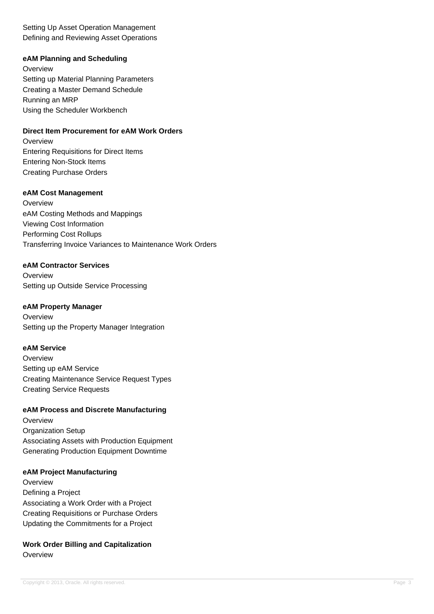Setting Up Asset Operation Management Defining and Reviewing Asset Operations

# **eAM Planning and Scheduling**

**Overview** Setting up Material Planning Parameters Creating a Master Demand Schedule Running an MRP Using the Scheduler Workbench

# **Direct Item Procurement for eAM Work Orders**

**Overview** Entering Requisitions for Direct Items Entering Non-Stock Items Creating Purchase Orders

# **eAM Cost Management**

**Overview** eAM Costing Methods and Mappings Viewing Cost Information Performing Cost Rollups Transferring Invoice Variances to Maintenance Work Orders

# **eAM Contractor Services**

**Overview** Setting up Outside Service Processing

### **eAM Property Manager**

**Overview** Setting up the Property Manager Integration

# **eAM Service**

**Overview** Setting up eAM Service Creating Maintenance Service Request Types Creating Service Requests

#### **eAM Process and Discrete Manufacturing**

**Overview Organization Setup** Associating Assets with Production Equipment Generating Production Equipment Downtime

#### **eAM Project Manufacturing**

**Overview** Defining a Project Associating a Work Order with a Project Creating Requisitions or Purchase Orders Updating the Commitments for a Project

# **Work Order Billing and Capitalization Overview**